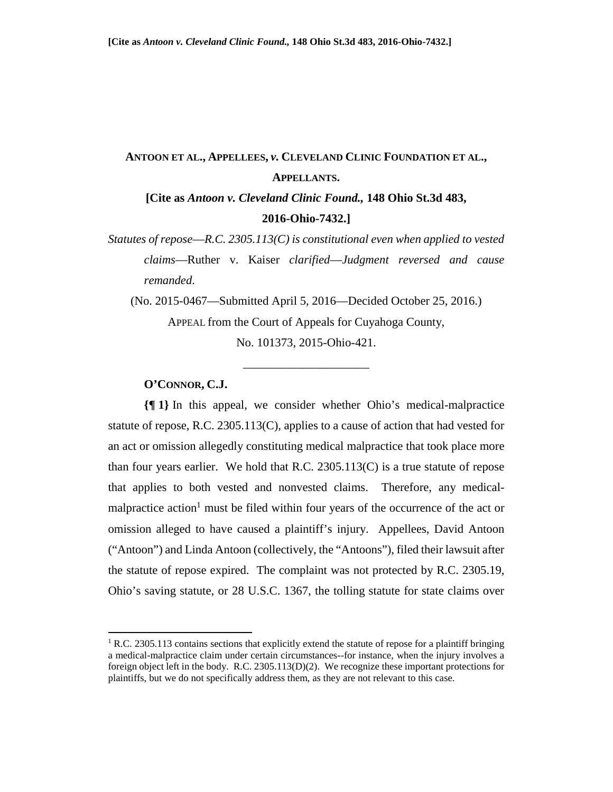# **ANTOON ET AL., APPELLEES,** *v.* **CLEVELAND CLINIC FOUNDATION ET AL., APPELLANTS.**

**[Cite as** *Antoon v. Cleveland Clinic Found.,* **148 Ohio St.3d 483, 2016-Ohio-7432.]** 

*Statutes of repose*—*R.C. 2305.113(C) is constitutional even when applied to vested claims*—Ruther v. Kaiser *clarified*—*Judgment reversed and cause remanded*.

(No. 2015-0467—Submitted April 5, 2016—Decided October 25, 2016.)

\_\_\_\_\_\_\_\_\_\_\_\_\_\_\_\_\_\_\_\_\_

APPEAL from the Court of Appeals for Cuyahoga County, No. 101373, 2015-Ohio-421.

# **O'CONNOR, C.J.**

**.** 

**{¶ 1}** In this appeal, we consider whether Ohio's medical-malpractice statute of repose, R.C. 2305.113(C), applies to a cause of action that had vested for an act or omission allegedly constituting medical malpractice that took place more than four years earlier. We hold that R.C. 2305.113(C) is a true statute of repose that applies to both vested and nonvested claims. Therefore, any medicalmalpractice action<sup>1</sup> must be filed within four years of the occurrence of the act or omission alleged to have caused a plaintiff's injury. Appellees, David Antoon ("Antoon") and Linda Antoon (collectively, the "Antoons"), filed their lawsuit after the statute of repose expired. The complaint was not protected by R.C. 2305.19, Ohio's saving statute, or 28 U.S.C. 1367, the tolling statute for state claims over

<sup>&</sup>lt;sup>1</sup> R.C. 2305.113 contains sections that explicitly extend the statute of repose for a plaintiff bringing a medical-malpractice claim under certain circumstances--for instance, when the injury involves a foreign object left in the body. R.C. 2305.113(D)(2). We recognize these important protections for plaintiffs, but we do not specifically address them, as they are not relevant to this case.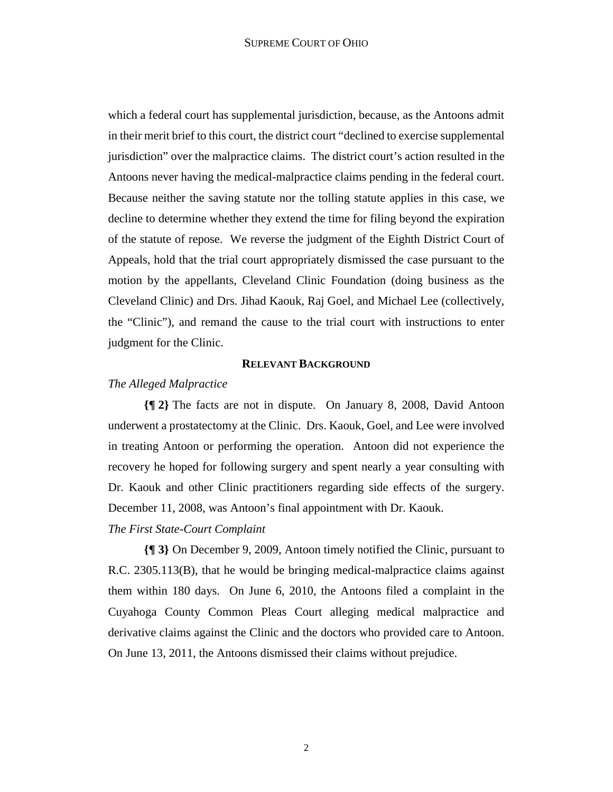which a federal court has supplemental jurisdiction, because, as the Antoons admit in their merit brief to this court, the district court "declined to exercise supplemental jurisdiction" over the malpractice claims. The district court's action resulted in the Antoons never having the medical-malpractice claims pending in the federal court. Because neither the saving statute nor the tolling statute applies in this case, we decline to determine whether they extend the time for filing beyond the expiration of the statute of repose. We reverse the judgment of the Eighth District Court of Appeals, hold that the trial court appropriately dismissed the case pursuant to the motion by the appellants, Cleveland Clinic Foundation (doing business as the Cleveland Clinic) and Drs. Jihad Kaouk, Raj Goel, and Michael Lee (collectively, the "Clinic"), and remand the cause to the trial court with instructions to enter judgment for the Clinic.

# **RELEVANT BACKGROUND**

# *The Alleged Malpractice*

**{¶ 2}** The facts are not in dispute. On January 8, 2008, David Antoon underwent a prostatectomy at the Clinic. Drs. Kaouk, Goel, and Lee were involved in treating Antoon or performing the operation. Antoon did not experience the recovery he hoped for following surgery and spent nearly a year consulting with Dr. Kaouk and other Clinic practitioners regarding side effects of the surgery. December 11, 2008, was Antoon's final appointment with Dr. Kaouk.

# *The First State-Court Complaint*

**{¶ 3}** On December 9, 2009, Antoon timely notified the Clinic, pursuant to R.C. 2305.113(B), that he would be bringing medical-malpractice claims against them within 180 days. On June 6, 2010, the Antoons filed a complaint in the Cuyahoga County Common Pleas Court alleging medical malpractice and derivative claims against the Clinic and the doctors who provided care to Antoon. On June 13, 2011, the Antoons dismissed their claims without prejudice.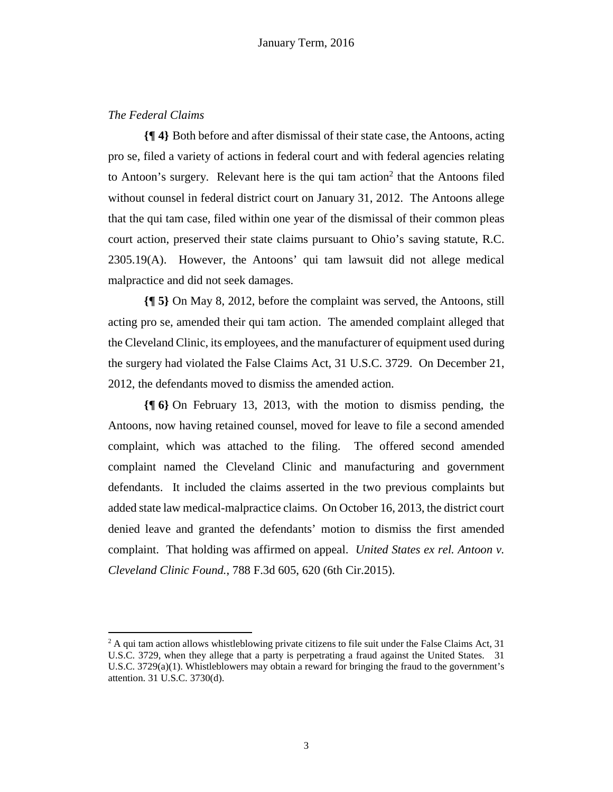# *The Federal Claims*

**.** 

**{¶ 4}** Both before and after dismissal of their state case, the Antoons, acting pro se, filed a variety of actions in federal court and with federal agencies relating to Antoon's surgery. Relevant here is the qui tam action<sup>2</sup> that the Antoons filed without counsel in federal district court on January 31, 2012. The Antoons allege that the qui tam case, filed within one year of the dismissal of their common pleas court action, preserved their state claims pursuant to Ohio's saving statute, R.C. 2305.19(A). However, the Antoons' qui tam lawsuit did not allege medical malpractice and did not seek damages.

**{¶ 5}** On May 8, 2012, before the complaint was served, the Antoons, still acting pro se, amended their qui tam action. The amended complaint alleged that the Cleveland Clinic, its employees, and the manufacturer of equipment used during the surgery had violated the False Claims Act, 31 U.S.C. 3729. On December 21, 2012, the defendants moved to dismiss the amended action.

**{¶ 6}** On February 13, 2013, with the motion to dismiss pending, the Antoons, now having retained counsel, moved for leave to file a second amended complaint, which was attached to the filing. The offered second amended complaint named the Cleveland Clinic and manufacturing and government defendants. It included the claims asserted in the two previous complaints but added state law medical-malpractice claims. On October 16, 2013, the district court denied leave and granted the defendants' motion to dismiss the first amended complaint. That holding was affirmed on appeal. *United States ex rel. Antoon v. Cleveland Clinic Found.*, 788 F.3d 605, 620 (6th Cir.2015).

<sup>&</sup>lt;sup>2</sup> A qui tam action allows whistleblowing private citizens to file suit under the False Claims Act, 31 U.S.C. 3729, when they allege that a party is perpetrating a fraud against the United States. 31 U.S.C.  $3729(a)(1)$ . Whistleblowers may obtain a reward for bringing the fraud to the government's attention. 31 U.S.C. 3730(d).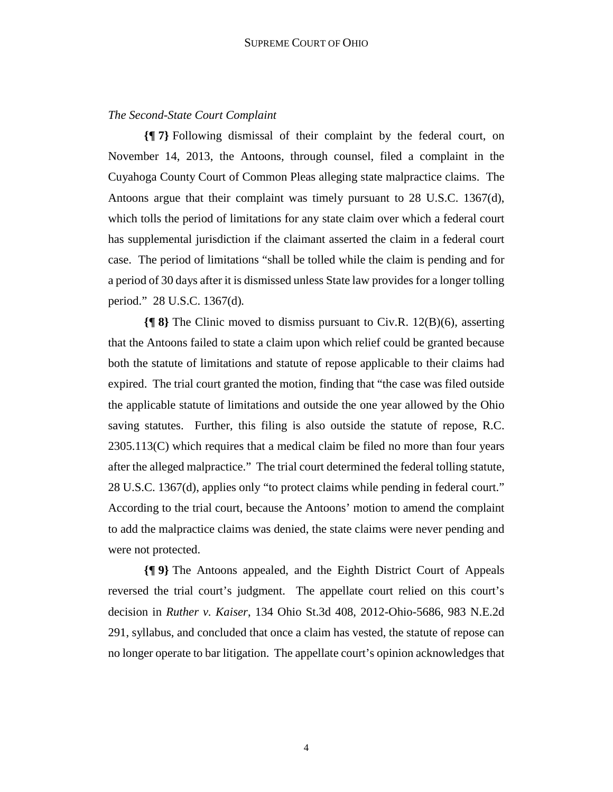## *The Second-State Court Complaint*

**{¶ 7}** Following dismissal of their complaint by the federal court, on November 14, 2013, the Antoons, through counsel, filed a complaint in the Cuyahoga County Court of Common Pleas alleging state malpractice claims. The Antoons argue that their complaint was timely pursuant to 28 U.S.C. 1367(d), which tolls the period of limitations for any state claim over which a federal court has supplemental jurisdiction if the claimant asserted the claim in a federal court case. The period of limitations "shall be tolled while the claim is pending and for a period of 30 days after it is dismissed unless State law provides for a longer tolling period." 28 U.S.C. 1367(d)*.*

**{¶ 8}** The Clinic moved to dismiss pursuant to Civ.R. 12(B)(6), asserting that the Antoons failed to state a claim upon which relief could be granted because both the statute of limitations and statute of repose applicable to their claims had expired. The trial court granted the motion, finding that "the case was filed outside the applicable statute of limitations and outside the one year allowed by the Ohio saving statutes. Further, this filing is also outside the statute of repose, R.C. 2305.113(C) which requires that a medical claim be filed no more than four years after the alleged malpractice." The trial court determined the federal tolling statute, 28 U.S.C. 1367(d), applies only "to protect claims while pending in federal court." According to the trial court, because the Antoons' motion to amend the complaint to add the malpractice claims was denied, the state claims were never pending and were not protected.

**{¶ 9}** The Antoons appealed, and the Eighth District Court of Appeals reversed the trial court's judgment. The appellate court relied on this court's decision in *Ruther v. Kaiser*, 134 Ohio St.3d 408, 2012-Ohio-5686, 983 N.E.2d 291, syllabus, and concluded that once a claim has vested, the statute of repose can no longer operate to bar litigation. The appellate court's opinion acknowledges that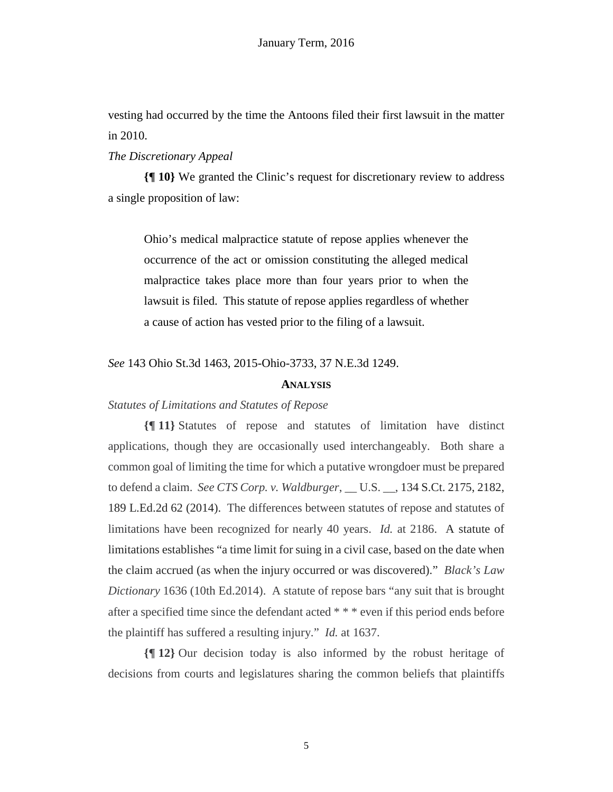vesting had occurred by the time the Antoons filed their first lawsuit in the matter in 2010.

## *The Discretionary Appeal*

**{¶ 10}** We granted the Clinic's request for discretionary review to address a single proposition of law:

Ohio's medical malpractice statute of repose applies whenever the occurrence of the act or omission constituting the alleged medical malpractice takes place more than four years prior to when the lawsuit is filed. This statute of repose applies regardless of whether a cause of action has vested prior to the filing of a lawsuit.

*See* 143 Ohio St.3d 1463, 2015-Ohio-3733, 37 N.E.3d 1249.

#### **ANALYSIS**

## *Statutes of Limitations and Statutes of Repose*

**{¶ 11}** Statutes of repose and statutes of limitation have distinct applications, though they are occasionally used interchangeably. Both share a common goal of limiting the time for which a putative wrongdoer must be prepared to defend a claim. *See CTS Corp. v. Waldburger*, \_\_ U.S. \_\_, 134 S.Ct. 2175, 2182, 189 L.Ed.2d 62 (2014). The differences between statutes of repose and statutes of limitations have been recognized for nearly 40 years. *Id.* at 2186. A statute of limitations establishes "a time limit for suing in a civil case, based on the date when the claim accrued (as when the injury occurred or was discovered)." *Black's Law Dictionary* 1636 (10th Ed.2014). A statute of repose bars "any suit that is brought after a specified time since the defendant acted \* \* \* even if this period ends before the plaintiff has suffered a resulting injury." *Id.* at 1637.

**{¶ 12}** Our decision today is also informed by the robust heritage of decisions from courts and legislatures sharing the common beliefs that plaintiffs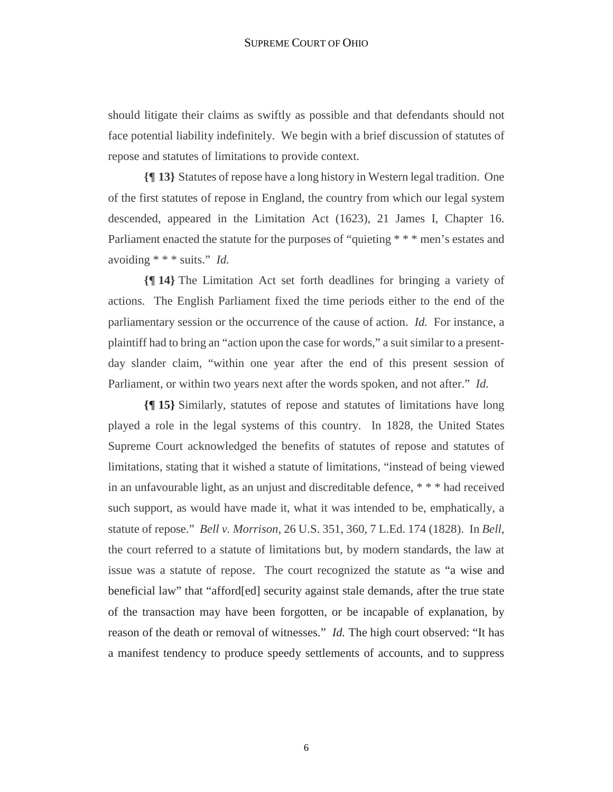should litigate their claims as swiftly as possible and that defendants should not face potential liability indefinitely. We begin with a brief discussion of statutes of repose and statutes of limitations to provide context.

**{¶ 13}** Statutes of repose have a long history in Western legal tradition. One of the first statutes of repose in England, the country from which our legal system descended, appeared in the Limitation Act (1623), 21 James I, Chapter 16. Parliament enacted the statute for the purposes of "quieting \* \* \* men's estates and avoiding \* \* \* suits." *Id.*

**{¶ 14}** The Limitation Act set forth deadlines for bringing a variety of actions. The English Parliament fixed the time periods either to the end of the parliamentary session or the occurrence of the cause of action. *Id.* For instance, a plaintiff had to bring an "action upon the case for words," a suit similar to a presentday slander claim, "within one year after the end of this present session of Parliament, or within two years next after the words spoken, and not after." *Id.*

**{¶ 15}** Similarly, statutes of repose and statutes of limitations have long played a role in the legal systems of this country. In 1828, the United States Supreme Court acknowledged the benefits of statutes of repose and statutes of limitations, stating that it wished a statute of limitations, "instead of being viewed in an unfavourable light, as an unjust and discreditable defence, \* \* \* had received such support, as would have made it, what it was intended to be, emphatically, a statute of repose." *Bell v. Morrison*, 26 U.S. 351, 360, 7 L.Ed. 174 (1828). In *Bell*, the court referred to a statute of limitations but, by modern standards, the law at issue was a statute of repose. The court recognized the statute as "a wise and beneficial law" that "afford[ed] security against stale demands, after the true state of the transaction may have been forgotten, or be incapable of explanation, by reason of the death or removal of witnesses." *Id.* The high court observed: "It has a manifest tendency to produce speedy settlements of accounts, and to suppress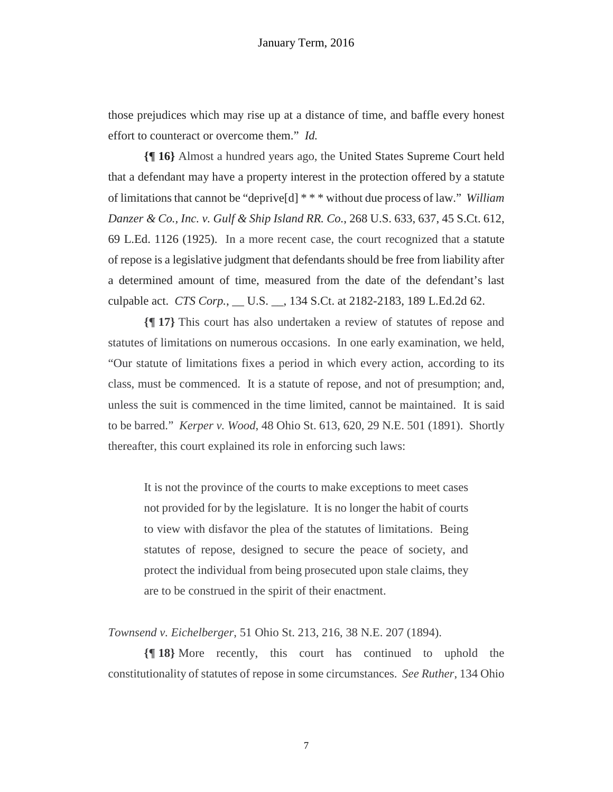those prejudices which may rise up at a distance of time, and baffle every honest effort to counteract or overcome them." *Id.* 

**{¶ 16}** Almost a hundred years ago, the United States Supreme Court held that a defendant may have a property interest in the protection offered by a statute of limitations that cannot be "deprive[d] \* \* \* without due process of law." *William Danzer & Co., Inc. v. Gulf & Ship Island RR. Co.*, 268 U.S. 633, 637, 45 S.Ct. 612, 69 L.Ed. 1126 (1925). In a more recent case, the court recognized that a statute of repose is a legislative judgment that defendants should be free from liability after a determined amount of time, measured from the date of the defendant's last culpable act. *CTS Corp.*, \_\_ U.S. \_\_, 134 S.Ct. at 2182-2183, 189 L.Ed.2d 62.

**{¶ 17}** This court has also undertaken a review of statutes of repose and statutes of limitations on numerous occasions. In one early examination, we held, "Our statute of limitations fixes a period in which every action, according to its class, must be commenced. It is a statute of repose, and not of presumption; and, unless the suit is commenced in the time limited, cannot be maintained. It is said to be barred." *Kerper v. Wood*, 48 Ohio St. 613, 620, 29 N.E. 501 (1891). Shortly thereafter, this court explained its role in enforcing such laws:

It is not the province of the courts to make exceptions to meet cases not provided for by the legislature. It is no longer the habit of courts to view with disfavor the plea of the statutes of limitations. Being statutes of repose, designed to secure the peace of society, and protect the individual from being prosecuted upon stale claims, they are to be construed in the spirit of their enactment.

*Townsend v. Eichelberger*, 51 Ohio St. 213, 216, 38 N.E. 207 (1894).

**{¶ 18}** More recently, this court has continued to uphold the constitutionality of statutes of repose in some circumstances. *See Ruther*, 134 Ohio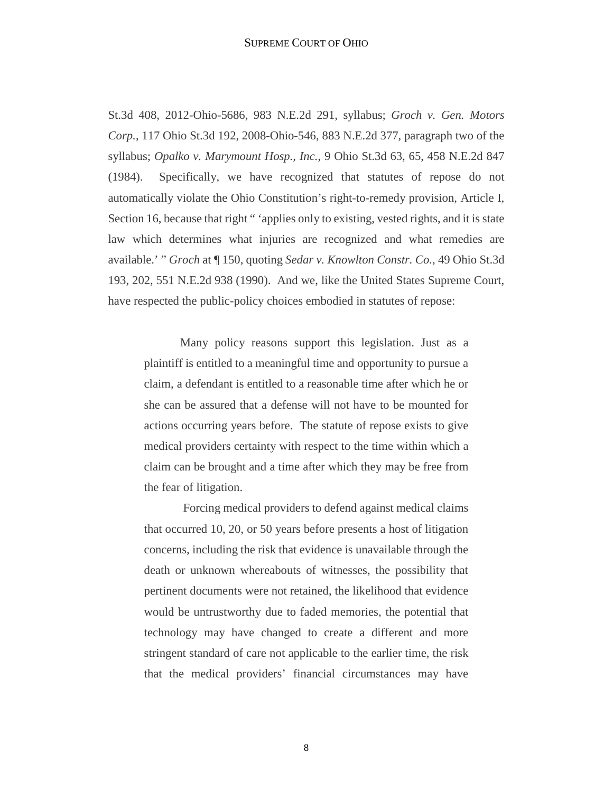St.3d 408, 2012-Ohio-5686, 983 N.E.2d 291, syllabus; *Groch v. Gen. Motors Corp.*, 117 Ohio St.3d 192, 2008-Ohio-546, 883 N.E.2d 377, paragraph two of the syllabus; *Opalko v. Marymount Hosp., Inc.*, 9 Ohio St.3d 63, 65, 458 N.E.2d 847 (1984). Specifically, we have recognized that statutes of repose do not automatically violate the Ohio Constitution's right-to-remedy provision, Article I, Section 16, because that right " 'applies only to existing, vested rights, and it is state law which determines what injuries are recognized and what remedies are available.' " *Groch* at ¶ 150, quoting *Sedar v. Knowlton Constr. Co.*, 49 Ohio St.3d 193, 202, 551 N.E.2d 938 (1990). And we, like the United States Supreme Court, have respected the public-policy choices embodied in statutes of repose:

Many policy reasons support this legislation. Just as a plaintiff is entitled to a meaningful time and opportunity to pursue a claim, a defendant is entitled to a reasonable time after which he or she can be assured that a defense will not have to be mounted for actions occurring years before. The statute of repose exists to give medical providers certainty with respect to the time within which a claim can be brought and a time after which they may be free from the fear of litigation.

 Forcing medical providers to defend against medical claims that occurred 10, 20, or 50 years before presents a host of litigation concerns, including the risk that evidence is unavailable through the death or unknown whereabouts of witnesses, the possibility that pertinent documents were not retained, the likelihood that evidence would be untrustworthy due to faded memories, the potential that technology may have changed to create a different and more stringent standard of care not applicable to the earlier time, the risk that the medical providers' financial circumstances may have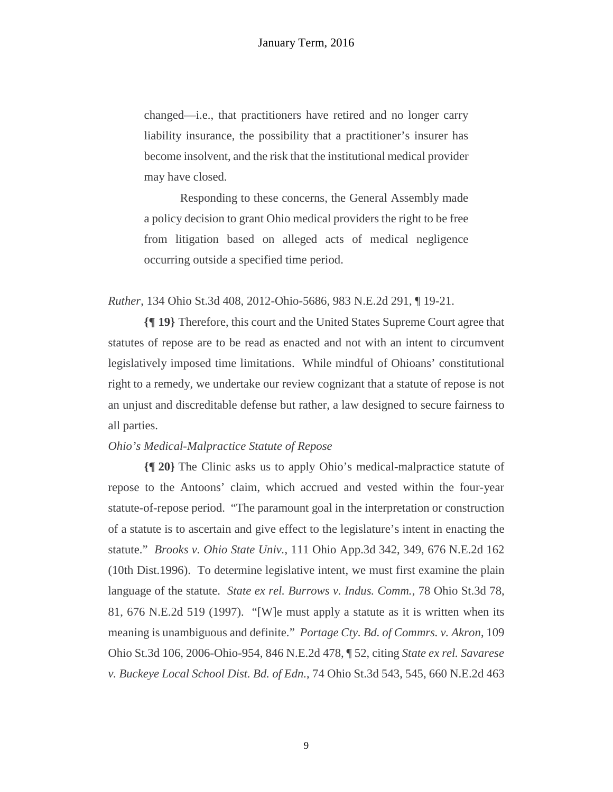changed—i.e., that practitioners have retired and no longer carry liability insurance, the possibility that a practitioner's insurer has become insolvent, and the risk that the institutional medical provider may have closed.

Responding to these concerns, the General Assembly made a policy decision to grant Ohio medical providers the right to be free from litigation based on alleged acts of medical negligence occurring outside a specified time period.

*Ruther*, 134 Ohio St.3d 408, 2012-Ohio-5686, 983 N.E.2d 291, ¶ 19-21.

**{¶ 19}** Therefore, this court and the United States Supreme Court agree that statutes of repose are to be read as enacted and not with an intent to circumvent legislatively imposed time limitations. While mindful of Ohioans' constitutional right to a remedy, we undertake our review cognizant that a statute of repose is not an unjust and discreditable defense but rather, a law designed to secure fairness to all parties.

## *Ohio's Medical-Malpractice Statute of Repose*

**{¶ 20}** The Clinic asks us to apply Ohio's medical-malpractice statute of repose to the Antoons' claim, which accrued and vested within the four-year statute-of-repose period. "The paramount goal in the interpretation or construction of a statute is to ascertain and give effect to the legislature's intent in enacting the statute." *Brooks v. Ohio State Univ.*, 111 Ohio App.3d 342, 349, 676 N.E.2d 162 (10th Dist.1996). To determine legislative intent, we must first examine the plain language of the statute. *State ex rel. Burrows v. Indus. Comm.*, 78 Ohio St.3d 78, 81, 676 N.E.2d 519 (1997). "[W]e must apply a statute as it is written when its meaning is unambiguous and definite." *Portage Cty. Bd. of Commrs. v. Akron*, 109 Ohio St.3d 106, 2006-Ohio-954, 846 N.E.2d 478, ¶ 52, citing *State ex rel. Savarese v. Buckeye Local School Dist. Bd. of Edn.*, 74 Ohio St.3d 543, 545, 660 N.E.2d 463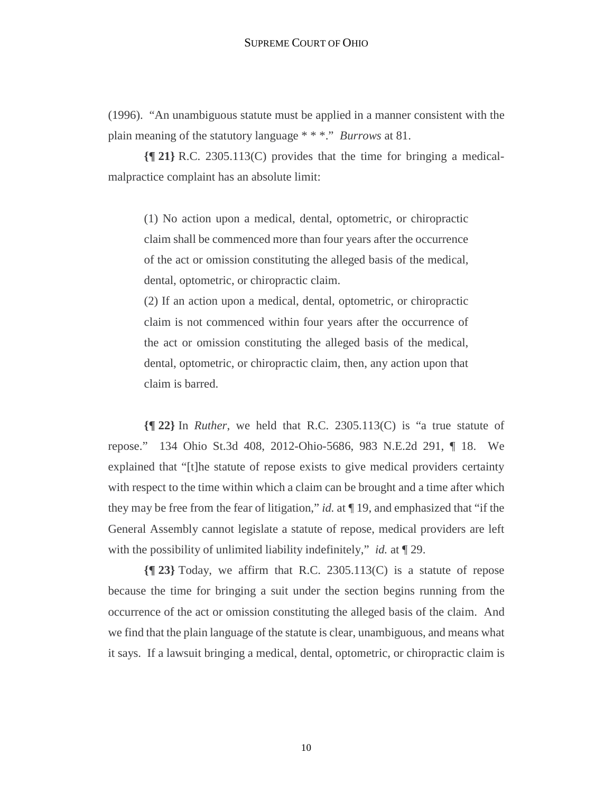(1996). "An unambiguous statute must be applied in a manner consistent with the plain meaning of the statutory language \* \* \*." *Burrows* at 81.

**{¶ 21}** R.C. 2305.113(C) provides that the time for bringing a medicalmalpractice complaint has an absolute limit:

(1) No action upon a medical, dental, optometric, or chiropractic claim shall be commenced more than four years after the occurrence of the act or omission constituting the alleged basis of the medical, dental, optometric, or chiropractic claim.

(2) If an action upon a medical, dental, optometric, or chiropractic claim is not commenced within four years after the occurrence of the act or omission constituting the alleged basis of the medical, dental, optometric, or chiropractic claim, then, any action upon that claim is barred.

**{¶ 22}** In *Ruther*, we held that R.C. 2305.113(C) is "a true statute of repose." 134 Ohio St.3d 408, 2012-Ohio-5686, 983 N.E.2d 291, ¶ 18. We explained that "[t]he statute of repose exists to give medical providers certainty with respect to the time within which a claim can be brought and a time after which they may be free from the fear of litigation," *id.* at ¶ 19, and emphasized that "if the General Assembly cannot legislate a statute of repose, medical providers are left with the possibility of unlimited liability indefinitely," *id.* at ¶ 29.

**{¶ 23}** Today, we affirm that R.C. 2305.113(C) is a statute of repose because the time for bringing a suit under the section begins running from the occurrence of the act or omission constituting the alleged basis of the claim. And we find that the plain language of the statute is clear, unambiguous, and means what it says. If a lawsuit bringing a medical, dental, optometric, or chiropractic claim is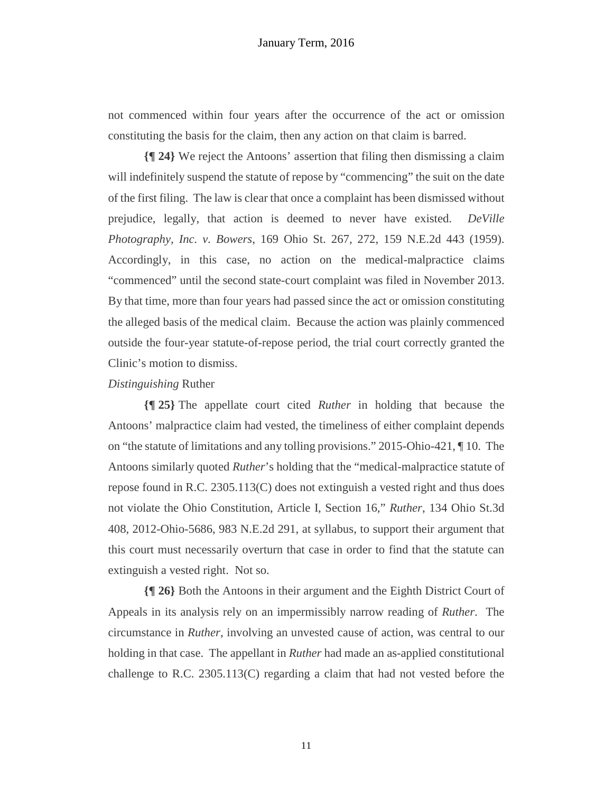not commenced within four years after the occurrence of the act or omission constituting the basis for the claim, then any action on that claim is barred.

**{¶ 24}** We reject the Antoons' assertion that filing then dismissing a claim will indefinitely suspend the statute of repose by "commencing" the suit on the date of the first filing. The law is clear that once a complaint has been dismissed without prejudice, legally, that action is deemed to never have existed. *DeVille Photography, Inc. v. Bowers*, 169 Ohio St. 267, 272, 159 N.E.2d 443 (1959). Accordingly, in this case, no action on the medical-malpractice claims "commenced" until the second state-court complaint was filed in November 2013. By that time, more than four years had passed since the act or omission constituting the alleged basis of the medical claim. Because the action was plainly commenced outside the four-year statute-of-repose period, the trial court correctly granted the Clinic's motion to dismiss.

## *Distinguishing* Ruther

**{¶ 25}** The appellate court cited *Ruther* in holding that because the Antoons' malpractice claim had vested, the timeliness of either complaint depends on "the statute of limitations and any tolling provisions." 2015-Ohio-421, ¶ 10. The Antoons similarly quoted *Ruther*'s holding that the "medical-malpractice statute of repose found in R.C. 2305.113(C) does not extinguish a vested right and thus does not violate the Ohio Constitution, Article I, Section 16," *Ruther*, 134 Ohio St.3d 408, 2012-Ohio-5686, 983 N.E.2d 291, at syllabus, to support their argument that this court must necessarily overturn that case in order to find that the statute can extinguish a vested right. Not so.

**{¶ 26}** Both the Antoons in their argument and the Eighth District Court of Appeals in its analysis rely on an impermissibly narrow reading of *Ruther*. The circumstance in *Ruther*, involving an unvested cause of action, was central to our holding in that case. The appellant in *Ruther* had made an as-applied constitutional challenge to R.C. 2305.113(C) regarding a claim that had not vested before the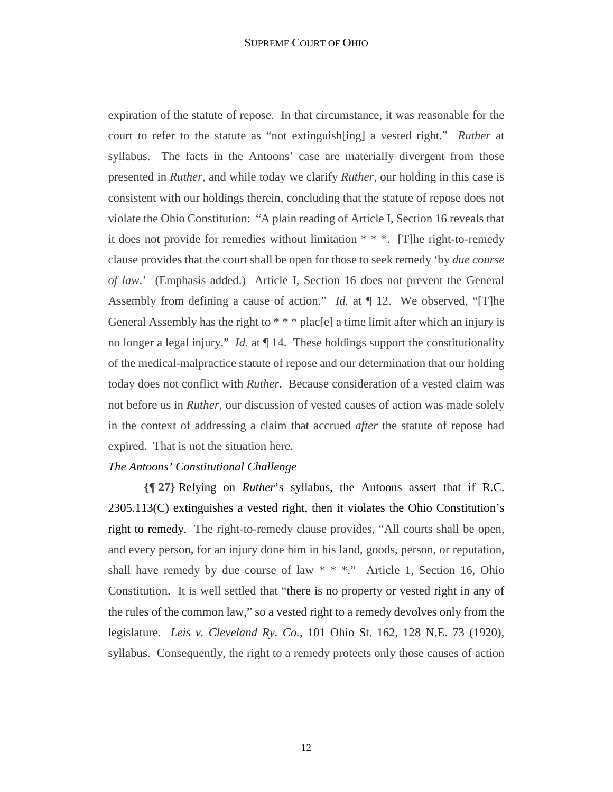expiration of the statute of repose. In that circumstance, it was reasonable for the court to refer to the statute as "not extinguish[ing] a vested right." *Ruther* at syllabus. The facts in the Antoons' case are materially divergent from those presented in *Ruther*, and while today we clarify *Ruther*, our holding in this case is consistent with our holdings therein, concluding that the statute of repose does not violate the Ohio Constitution: "A plain reading of Article I, Section 16 reveals that it does not provide for remedies without limitation \* \* \*. [T]he right-to-remedy clause provides that the court shall be open for those to seek remedy 'by *due course of law*.' (Emphasis added.) Article I, Section 16 does not prevent the General Assembly from defining a cause of action." *Id.* at ¶ 12. We observed, "[T]he General Assembly has the right to  $** * place[e]$  a time limit after which an injury is no longer a legal injury." *Id.* at ¶ 14. These holdings support the constitutionality of the medical-malpractice statute of repose and our determination that our holding today does not conflict with *Ruther*. Because consideration of a vested claim was not before us in *Ruther*, our discussion of vested causes of action was made solely in the context of addressing a claim that accrued *after* the statute of repose had expired. That is not the situation here.

# *The Antoons' Constitutional Challenge*

**{¶ 27}** Relying on *Ruther*'s syllabus, the Antoons assert that if R.C. 2305.113(C) extinguishes a vested right, then it violates the Ohio Constitution's right to remedy. The right-to-remedy clause provides, "All courts shall be open, and every person, for an injury done him in his land, goods, person, or reputation, shall have remedy by due course of law  $* * *$ ." Article 1, Section 16, Ohio Constitution. It is well settled that "there is no property or vested right in any of the rules of the common law," so a vested right to a remedy devolves only from the legislature. *Leis v. Cleveland Ry. Co.*, 101 Ohio St. 162, 128 N.E. 73 (1920), syllabus. Consequently, the right to a remedy protects only those causes of action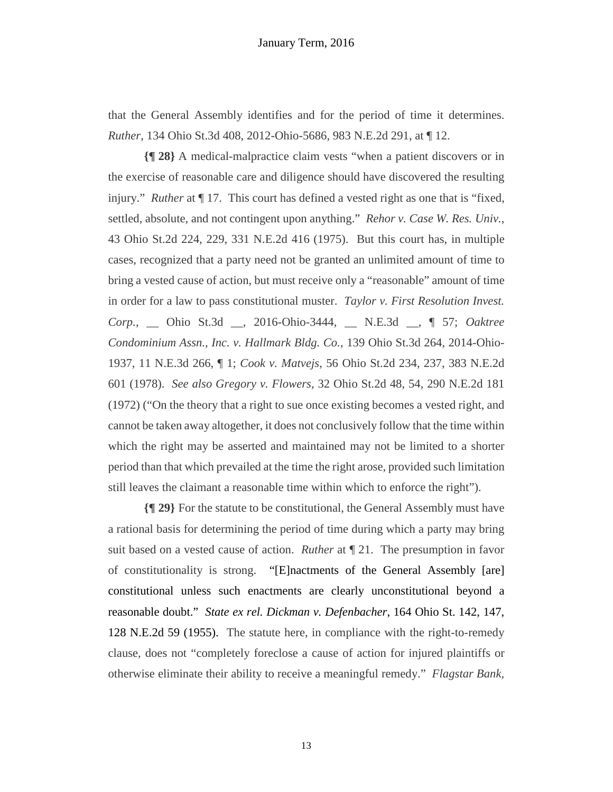that the General Assembly identifies and for the period of time it determines. *Ruther*, 134 Ohio St.3d 408, 2012-Ohio-5686, 983 N.E.2d 291, at ¶ 12.

**{¶ 28}** A medical-malpractice claim vests "when a patient discovers or in the exercise of reasonable care and diligence should have discovered the resulting injury." *Ruther* at ¶ 17. This court has defined a vested right as one that is "fixed, settled, absolute, and not contingent upon anything." *Rehor v. Case W. Res. Univ.*, 43 Ohio St.2d 224, 229, 331 N.E.2d 416 (1975). But this court has, in multiple cases, recognized that a party need not be granted an unlimited amount of time to bring a vested cause of action, but must receive only a "reasonable" amount of time in order for a law to pass constitutional muster. *Taylor v. First Resolution Invest. Corp.*, \_\_ Ohio St.3d \_\_, 2016-Ohio-3444, \_\_ N.E.3d \_\_, ¶ 57; *Oaktree Condominium Assn., Inc. v. Hallmark Bldg. Co.*, 139 Ohio St.3d 264, 2014-Ohio-1937, 11 N.E.3d 266, ¶ 1; *Cook v. Matvejs*, 56 Ohio St.2d 234, 237, 383 N.E.2d 601 (1978). *See also Gregory v. Flowers*, 32 Ohio St.2d 48, 54, 290 N.E.2d 181 (1972) ("On the theory that a right to sue once existing becomes a vested right, and cannot be taken away altogether, it does not conclusively follow that the time within which the right may be asserted and maintained may not be limited to a shorter period than that which prevailed at the time the right arose, provided such limitation still leaves the claimant a reasonable time within which to enforce the right").

**{¶ 29}** For the statute to be constitutional, the General Assembly must have a rational basis for determining the period of time during which a party may bring suit based on a vested cause of action. *Ruther* at ¶ 21. The presumption in favor of constitutionality is strong. "[E]nactments of the General Assembly [are] constitutional unless such enactments are clearly unconstitutional beyond a reasonable doubt." *State ex rel. Dickman v. Defenbacher*, 164 Ohio St. 142, 147, 128 N.E.2d 59 (1955). The statute here, in compliance with the right-to-remedy clause, does not "completely foreclose a cause of action for injured plaintiffs or otherwise eliminate their ability to receive a meaningful remedy." *Flagstar Bank,*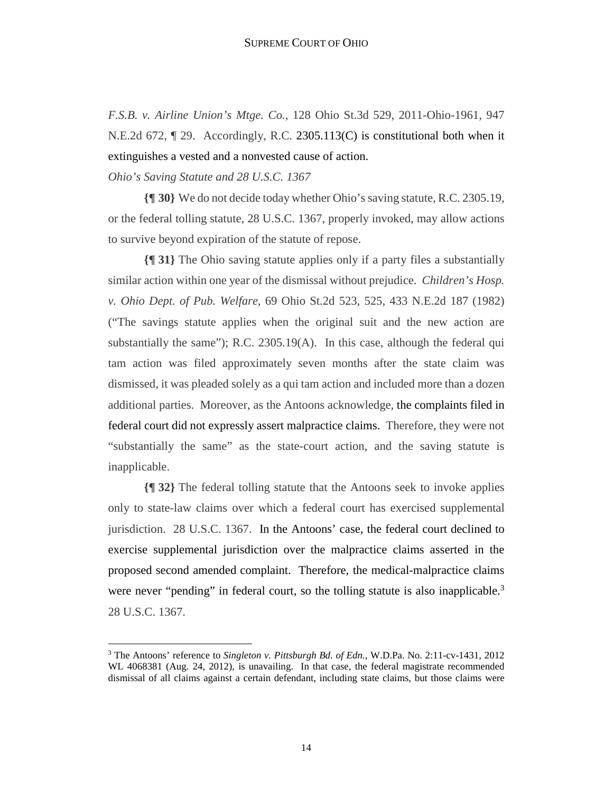*F.S.B. v. Airline Union's Mtge. Co.*, 128 Ohio St.3d 529, 2011-Ohio-1961, 947 N.E.2d 672, ¶ 29. Accordingly, R.C. 2305.113(C) is constitutional both when it extinguishes a vested and a nonvested cause of action.

*Ohio's Saving Statute and 28 U.S.C. 1367* 

1

**{¶ 30}** We do not decide today whether Ohio's saving statute, R.C. 2305.19, or the federal tolling statute, 28 U.S.C. 1367, properly invoked, may allow actions to survive beyond expiration of the statute of repose.

**{¶ 31}** The Ohio saving statute applies only if a party files a substantially similar action within one year of the dismissal without prejudice. *Children's Hosp. v. Ohio Dept. of Pub. Welfare*, 69 Ohio St.2d 523, 525, 433 N.E.2d 187 (1982) ("The savings statute applies when the original suit and the new action are substantially the same"); R.C. 2305.19(A). In this case, although the federal qui tam action was filed approximately seven months after the state claim was dismissed, it was pleaded solely as a qui tam action and included more than a dozen additional parties. Moreover, as the Antoons acknowledge, the complaints filed in federal court did not expressly assert malpractice claims. Therefore, they were not "substantially the same" as the state-court action, and the saving statute is inapplicable.

**{¶ 32}** The federal tolling statute that the Antoons seek to invoke applies only to state-law claims over which a federal court has exercised supplemental jurisdiction. 28 U.S.C. 1367. In the Antoons' case, the federal court declined to exercise supplemental jurisdiction over the malpractice claims asserted in the proposed second amended complaint. Therefore, the medical-malpractice claims were never "pending" in federal court, so the tolling statute is also inapplicable. $3$ 28 U.S.C. 1367.

<sup>3</sup> The Antoons' reference to *Singleton v. Pittsburgh Bd. of Edn.*, W.D.Pa. No. 2:11-cv-1431, 2012 WL 4068381 (Aug. 24, 2012), is unavailing. In that case, the federal magistrate recommended dismissal of all claims against a certain defendant, including state claims, but those claims were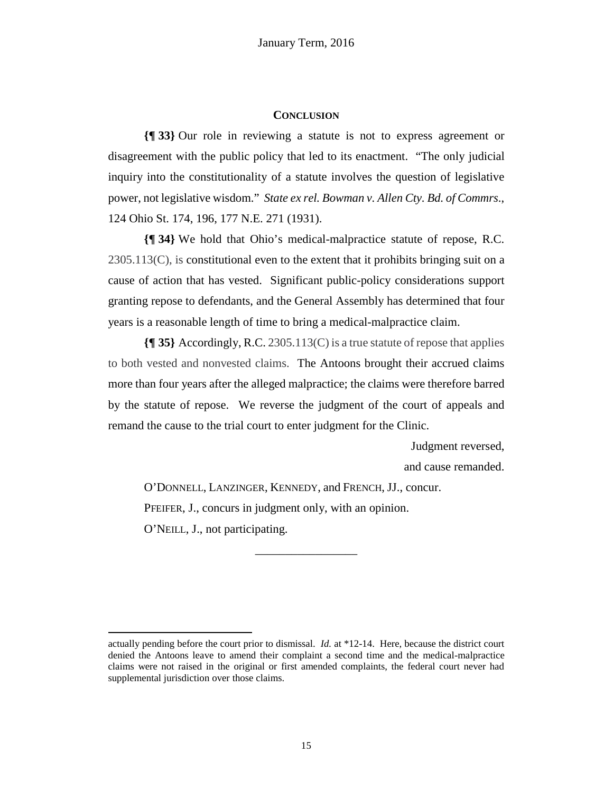## **CONCLUSION**

**{¶ 33}** Our role in reviewing a statute is not to express agreement or disagreement with the public policy that led to its enactment. "The only judicial inquiry into the constitutionality of a statute involves the question of legislative power, not legislative wisdom." *State ex rel. Bowman v. Allen Cty. Bd. of Commrs*., 124 Ohio St. 174, 196, 177 N.E. 271 (1931).

**{¶ 34}** We hold that Ohio's medical-malpractice statute of repose, R.C. 2305.113(C), is constitutional even to the extent that it prohibits bringing suit on a cause of action that has vested. Significant public-policy considerations support granting repose to defendants, and the General Assembly has determined that four years is a reasonable length of time to bring a medical-malpractice claim.

**{¶ 35}** Accordingly, R.C. 2305.113(C) is a true statute of repose that applies to both vested and nonvested claims. The Antoons brought their accrued claims more than four years after the alleged malpractice; the claims were therefore barred by the statute of repose. We reverse the judgment of the court of appeals and remand the cause to the trial court to enter judgment for the Clinic.

Judgment reversed,

and cause remanded.

O'DONNELL, LANZINGER, KENNEDY, and FRENCH, JJ., concur. PFEIFER, J., concurs in judgment only, with an opinion. O'NEILL, J., not participating.

**.** 

\_\_\_\_\_\_\_\_\_\_\_\_\_\_\_\_\_

actually pending before the court prior to dismissal. *Id.* at \*12-14. Here, because the district court denied the Antoons leave to amend their complaint a second time and the medical-malpractice claims were not raised in the original or first amended complaints, the federal court never had supplemental jurisdiction over those claims.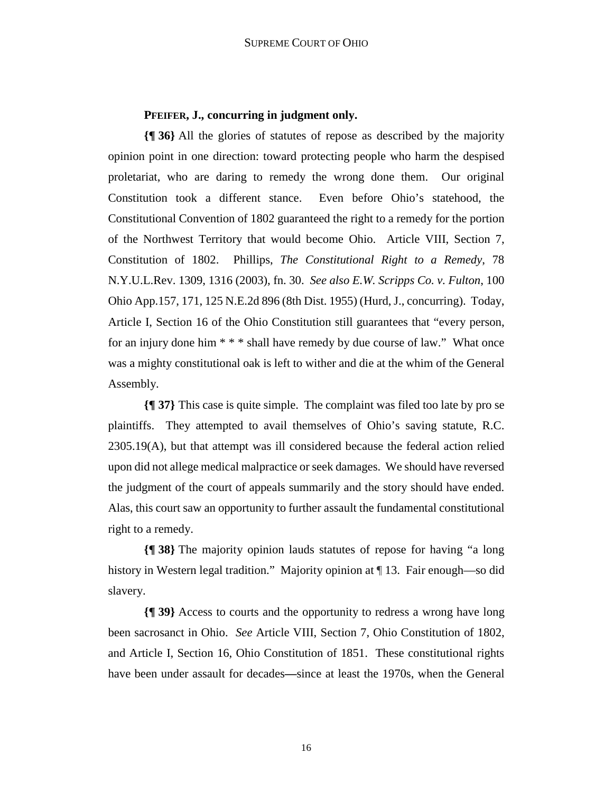# **PFEIFER, J., concurring in judgment only.**

**{¶ 36}** All the glories of statutes of repose as described by the majority opinion point in one direction: toward protecting people who harm the despised proletariat, who are daring to remedy the wrong done them. Our original Constitution took a different stance. Even before Ohio's statehood, the Constitutional Convention of 1802 guaranteed the right to a remedy for the portion of the Northwest Territory that would become Ohio. Article VIII, Section 7, Constitution of 1802. Phillips, *The Constitutional Right to a Remedy*, 78 N.Y.U.L.Rev. 1309, 1316 (2003), fn. 30. *See also E.W. Scripps Co. v. Fulton*, 100 Ohio App.157, 171, 125 N.E.2d 896 (8th Dist. 1955) (Hurd, J., concurring). Today, Article I, Section 16 of the Ohio Constitution still guarantees that "every person, for an injury done him \* \* \* shall have remedy by due course of law." What once was a mighty constitutional oak is left to wither and die at the whim of the General Assembly.

**{¶ 37}** This case is quite simple. The complaint was filed too late by pro se plaintiffs. They attempted to avail themselves of Ohio's saving statute, R.C.  $2305.19(A)$ , but that attempt was ill considered because the federal action relied upon did not allege medical malpractice or seek damages. We should have reversed the judgment of the court of appeals summarily and the story should have ended. Alas, this court saw an opportunity to further assault the fundamental constitutional right to a remedy.

**{¶ 38}** The majority opinion lauds statutes of repose for having "a long history in Western legal tradition." Majority opinion at  $\P$  13. Fair enough—so did slavery.

**{¶ 39}** Access to courts and the opportunity to redress a wrong have long been sacrosanct in Ohio. *See* Article VIII, Section 7, Ohio Constitution of 1802, and Article I, Section 16, Ohio Constitution of 1851. These constitutional rights have been under assault for decades**—**since at least the 1970s, when the General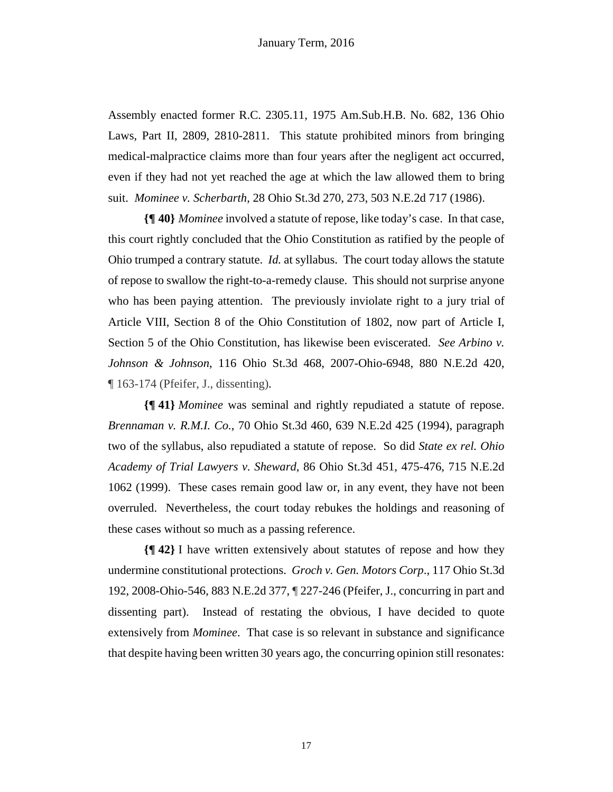Assembly enacted former R.C. 2305.11, 1975 Am.Sub.H.B. No. 682, 136 Ohio Laws, Part II, 2809, 2810-2811. This statute prohibited minors from bringing medical-malpractice claims more than four years after the negligent act occurred, even if they had not yet reached the age at which the law allowed them to bring suit. *Mominee v. Scherbarth*, 28 Ohio St.3d 270, 273, 503 N.E.2d 717 (1986).

**{¶ 40}** *Mominee* involved a statute of repose, like today's case. In that case, this court rightly concluded that the Ohio Constitution as ratified by the people of Ohio trumped a contrary statute. *Id.* at syllabus. The court today allows the statute of repose to swallow the right-to-a-remedy clause. This should not surprise anyone who has been paying attention. The previously inviolate right to a jury trial of Article VIII, Section 8 of the Ohio Constitution of 1802, now part of Article I, Section 5 of the Ohio Constitution, has likewise been eviscerated. *See Arbino v. Johnson & Johnson*, 116 Ohio St.3d 468, 2007-Ohio-6948, 880 N.E.2d 420, ¶ 163-174 (Pfeifer, J., dissenting).

**{¶ 41}** *Mominee* was seminal and rightly repudiated a statute of repose. *Brennaman v. R.M.I. Co.*, 70 Ohio St.3d 460, 639 N.E.2d 425 (1994), paragraph two of the syllabus, also repudiated a statute of repose. So did *State ex rel. Ohio Academy of Trial Lawyers v. Sheward*, 86 Ohio St.3d 451, 475-476, 715 N.E.2d 1062 (1999). These cases remain good law or, in any event, they have not been overruled. Nevertheless, the court today rebukes the holdings and reasoning of these cases without so much as a passing reference.

**{¶ 42}** I have written extensively about statutes of repose and how they undermine constitutional protections. *Groch v. Gen. Motors Corp*., 117 Ohio St.3d 192, 2008-Ohio-546, 883 N.E.2d 377, ¶ 227-246 (Pfeifer, J., concurring in part and dissenting part). Instead of restating the obvious, I have decided to quote extensively from *Mominee*. That case is so relevant in substance and significance that despite having been written 30 years ago, the concurring opinion still resonates: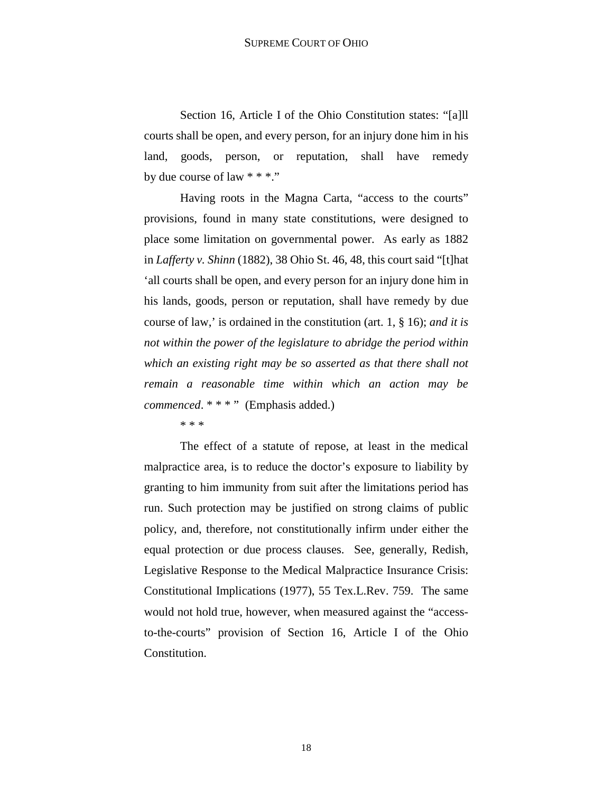## SUPREME COURT OF OHIO

Section 16, Article I of the Ohio Constitution states: "[a]ll courts shall be open, and every person, for an injury done him in his land, goods, person, or reputation, shall have remedy by due course of law \* \* \*."

Having roots in the Magna Carta, "access to the courts" provisions, found in many state constitutions, were designed to place some limitation on governmental power. As early as 1882 in *Lafferty v. Shinn* (1882), 38 Ohio St. 46, 48, this court said "[t]hat 'all courts shall be open, and every person for an injury done him in his lands, goods, person or reputation, shall have remedy by due course of law,' is ordained in the constitution (art. 1, § 16); *and it is not within the power of the legislature to abridge the period within which an existing right may be so asserted as that there shall not remain a reasonable time within which an action may be commenced.* \* \* \* " (Emphasis added.)

\* \* \*

The effect of a statute of repose, at least in the medical malpractice area, is to reduce the doctor's exposure to liability by granting to him immunity from suit after the limitations period has run. Such protection may be justified on strong claims of public policy, and, therefore, not constitutionally infirm under either the equal protection or due process clauses. See, generally, Redish, Legislative Response to the Medical Malpractice Insurance Crisis: Constitutional Implications (1977), 55 Tex.L.Rev. 759. The same would not hold true, however, when measured against the "accessto-the-courts" provision of Section 16, Article I of the Ohio Constitution.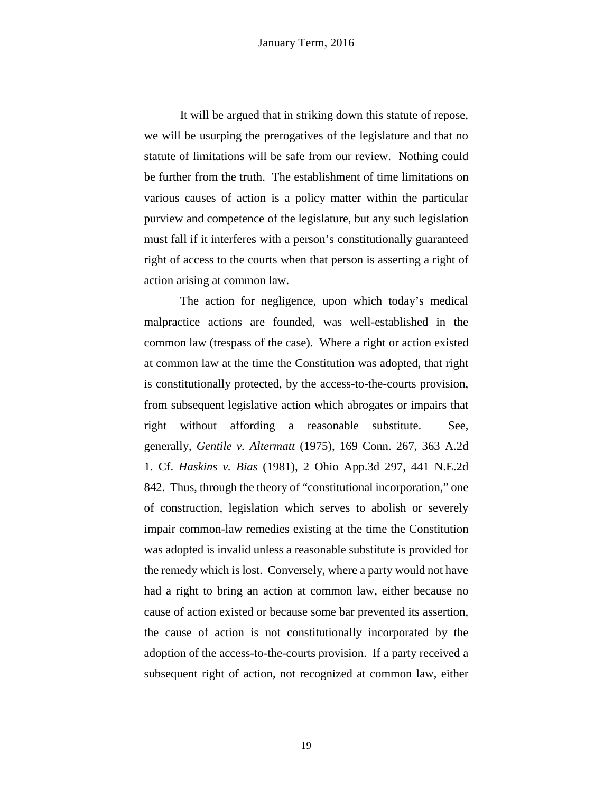It will be argued that in striking down this statute of repose, we will be usurping the prerogatives of the legislature and that no statute of limitations will be safe from our review. Nothing could be further from the truth. The establishment of time limitations on various causes of action is a policy matter within the particular purview and competence of the legislature, but any such legislation must fall if it interferes with a person's constitutionally guaranteed right of access to the courts when that person is asserting a right of action arising at common law.

The action for negligence, upon which today's medical malpractice actions are founded, was well-established in the common law (trespass of the case). Where a right or action existed at common law at the time the Constitution was adopted, that right is constitutionally protected, by the access-to-the-courts provision, from subsequent legislative action which abrogates or impairs that right without affording a reasonable substitute. See, generally, *Gentile v. Altermatt* (1975), 169 Conn. 267, 363 A.2d 1. Cf. *Haskins v. Bias* (1981), 2 Ohio App.3d 297, 441 N.E.2d 842. Thus, through the theory of "constitutional incorporation," one of construction, legislation which serves to abolish or severely impair common-law remedies existing at the time the Constitution was adopted is invalid unless a reasonable substitute is provided for the remedy which is lost. Conversely, where a party would not have had a right to bring an action at common law, either because no cause of action existed or because some bar prevented its assertion, the cause of action is not constitutionally incorporated by the adoption of the access-to-the-courts provision. If a party received a subsequent right of action, not recognized at common law, either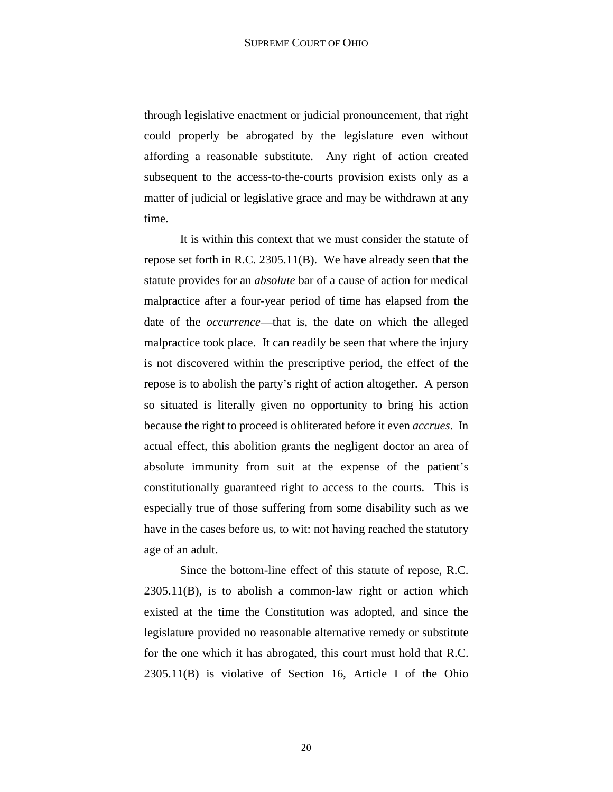through legislative enactment or judicial pronouncement, that right could properly be abrogated by the legislature even without affording a reasonable substitute. Any right of action created subsequent to the access-to-the-courts provision exists only as a matter of judicial or legislative grace and may be withdrawn at any time.

It is within this context that we must consider the statute of repose set forth in R.C. 2305.11(B). We have already seen that the statute provides for an *absolute* bar of a cause of action for medical malpractice after a four-year period of time has elapsed from the date of the *occurrence*—that is, the date on which the alleged malpractice took place. It can readily be seen that where the injury is not discovered within the prescriptive period, the effect of the repose is to abolish the party's right of action altogether. A person so situated is literally given no opportunity to bring his action because the right to proceed is obliterated before it even *accrues*. In actual effect, this abolition grants the negligent doctor an area of absolute immunity from suit at the expense of the patient's constitutionally guaranteed right to access to the courts. This is especially true of those suffering from some disability such as we have in the cases before us, to wit: not having reached the statutory age of an adult.

Since the bottom-line effect of this statute of repose, R.C. 2305.11(B), is to abolish a common-law right or action which existed at the time the Constitution was adopted, and since the legislature provided no reasonable alternative remedy or substitute for the one which it has abrogated, this court must hold that R.C. 2305.11(B) is violative of Section 16, Article I of the Ohio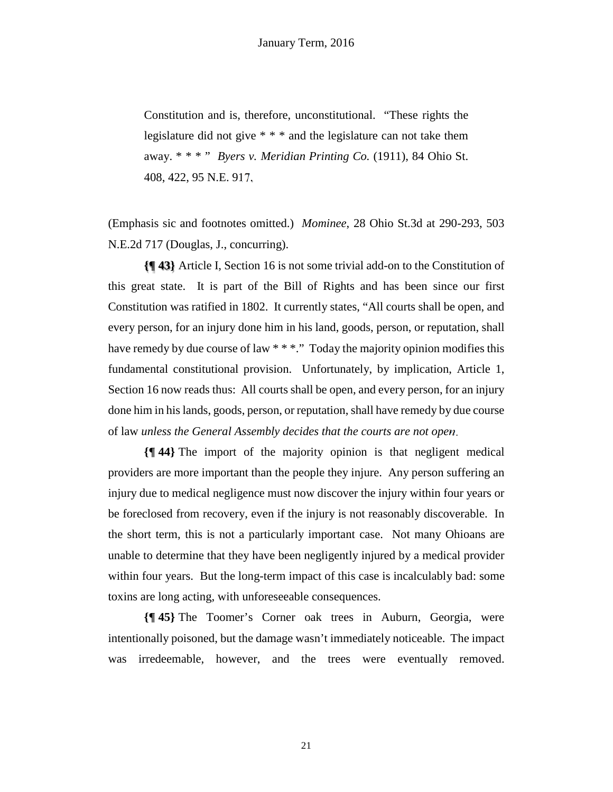Constitution and is, therefore, unconstitutional. "These rights the legislature did not give \* \* \* and the legislature can not take them away. \* \* \* " *Byers v. Meridian Printing Co.* (1911), 84 Ohio St. 408, 422, 95 N.E. 917.

(Emphasis sic and footnotes omitted.) *Mominee*, 28 Ohio St.3d at 290-293, 503 N.E.2d 717 (Douglas, J., concurring).

**{¶ 43}** Article I, Section 16 is not some trivial add-on to the Constitution of this great state. It is part of the Bill of Rights and has been since our first Constitution was ratified in 1802. It currently states, "All courts shall be open, and every person, for an injury done him in his land, goods, person, or reputation, shall have remedy by due course of law \* \* \*." Today the majority opinion modifies this fundamental constitutional provision. Unfortunately, by implication, Article 1, Section 16 now reads thus: All courts shall be open, and every person, for an injury done him in his lands, goods, person, or reputation, shall have remedy by due course of law *unless the General Assembly decides that the courts are not open*.

**{¶ 44}** The import of the majority opinion is that negligent medical providers are more important than the people they injure. Any person suffering an injury due to medical negligence must now discover the injury within four years or be foreclosed from recovery, even if the injury is not reasonably discoverable. In the short term, this is not a particularly important case. Not many Ohioans are unable to determine that they have been negligently injured by a medical provider within four years. But the long-term impact of this case is incalculably bad: some toxins are long acting, with unforeseeable consequences.

**{¶ 45}** The Toomer's Corner oak trees in Auburn, Georgia, were intentionally poisoned, but the damage wasn't immediately noticeable. The impact was irredeemable, however, and the trees were eventually removed.

21